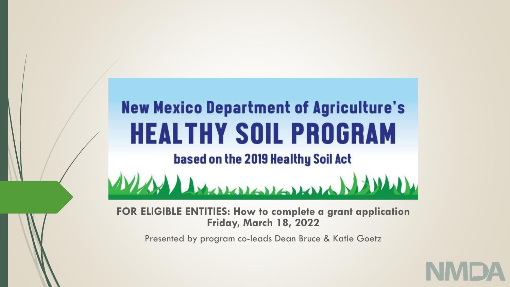## **New Mexico Department of Agriculture's HEALTHY SOIL PROGRAM** based on the 2019 Healthy Soil Act Leonardonal

**FOR ELIGIBLE ENTITIES: How to complete a grant application Friday, March 18, 2022**

Presented by program co-leads Dean Bruce & Katie Goetz

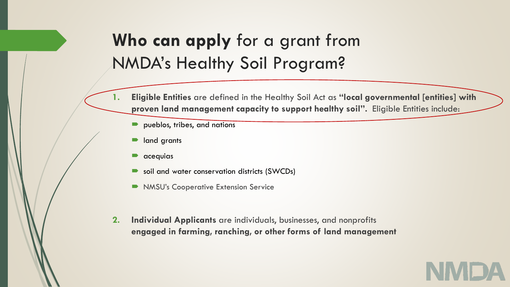## **Who can apply** for a grant from NMDA's Healthy Soil Program?

- **1. Eligible Entities** are defined in the Healthy Soil Act as **"local governmental [entities] with proven land management capacity to support healthy soil".** Eligible Entities include:
	- pueblos, tribes, and nations
	- **n** land grants
	- $\blacksquare$  acequias
	- soil and water conservation districts (SWCDs)
	- NMSU's Cooperative Extension Service
- **2. Individual Applicants** are individuals, businesses, and nonprofits **engaged in farming, ranching, or other forms of land management**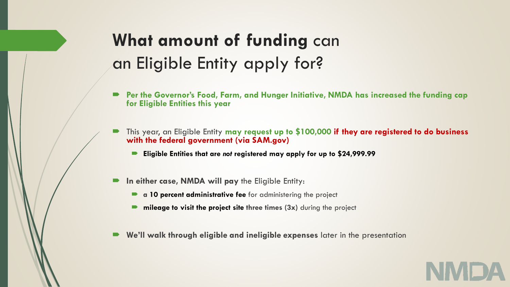## **What amount of funding** can an Eligible Entity apply for?

- **Per the Governor's Food, Farm, and Hunger Initiative, NMDA has increased the funding cap for Eligible Entities this year**
- This year, an Eligible Entity **may request up to \$100,000 if they are registered to do business with the federal government (via SAM.gov)**
	- **Eligible Entities that are** *not* **registered may apply for up to \$24,999.99**
- **In either case, NMDA will pay** the Eligible Entity:
	- **a 10 percent administrative fee** for administering the project
	- **nileage to visit the project site three times (3x)** during the project
- **We'll walk through eligible and ineligible expenses** later in the presentation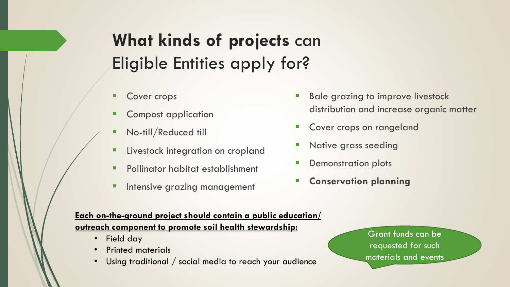## **What kinds of projects** can Eligible Entities apply for?

- **Cover crops**
- Compost application
- No-till/Reduced till
- **E** Livestock integration on cropland
- Pollinator habitat establishment
- **Intensive grazing management**
- Bale grazing to improve livestock distribution and increase organic matter
- Cover crops on rangeland
- Native grass seeding
- **Demonstration plots**
- **Conservation planning**

#### **Each on-the-ground project should contain a public education/ outreach component to promote soil health stewardship:**

- Field day
- Printed materials
- Using traditional / social media to reach your audience

Grant funds can be requested for such materials and events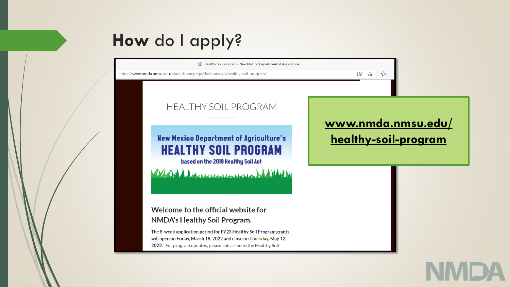# **How** do I apply?

N.M. Healthy Soil Program - New Mexico Department of Agriculture

https://www.nmda.nmsu.edu/nmda-homepage/divisions/apr/healthy-soil-program/

 $\square$   $\sim$   $\square$ 

#### **HEALTHY SOIL PROGRAM**

**New Mexico Department of Agriculture's HEALTHY SOIL PROGRAM** based on the 2019 Healthy Soil Act

Washington Hall

Welcome to the official website for **NMDA's Healthy Soil Program.** 

The 8-week application period for FY23 Healthy Soil Program grants will open on Friday, March 18, 2022 and close on Thursday, May 12, 2022. For program updates, please subscribe to the Healthy Soil

**[www.nmda.nmsu.edu/](http://www.nmda.nmsu.edu/healthy-soil-program) healthy-soil-program**

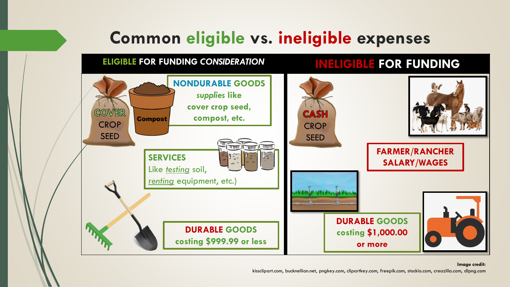## **Common eligible vs. ineligible expenses**

### **ELIGIBLE FOR FUNDING** *CONSIDERATION* **INELIGIBLE FOR FUNDING**



#### **Image credit:**

kissclipart.com, bucknellian.net, pngkey.com, clipartkey.com, freepik.com, stockio.com, creazilla.com, dlpng.com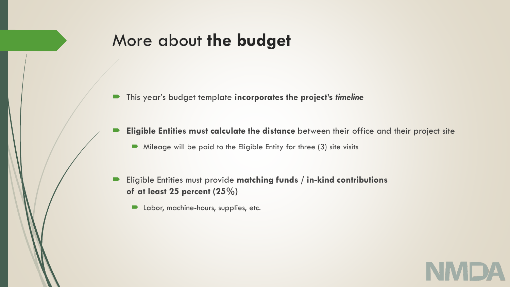## More about **the budget**

- This year's budget template **incorporates the project's** *timeline*
- **Eligible Entities must calculate the distance** between their office and their project site
	- $\blacksquare$  Mileage will be paid to the Eligible Entity for three (3) site visits
- Eligible Entities must provide **matching funds / in-kind contributions of at least 25 percent (25%)**
	- **D** Labor, machine-hours, supplies, etc.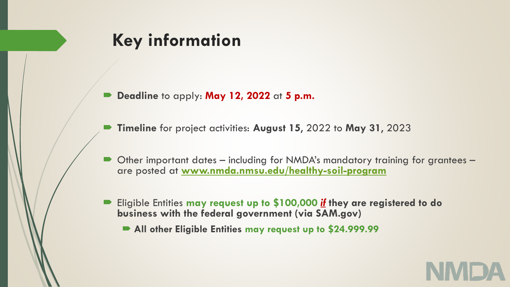## **Key information**

- **Deadline** to apply: **May 12, 2022** at **5 p.m.**
- **Timeline** for project activities: **August 15**, 2022 to **May 31**, 2023
- Other important dates including for NMDA's mandatory training for grantees are posted at **[www.nmda.nmsu.edu/healthy-soil-program](http://www.nmda.nmsu.edu/healthy-soil-program)**
- Eligible Entities **may request up to \$100,000** *if* **they are registered to do business with the federal government (via SAM.gov)**
	- **All other Eligible Entities may request up to \$24.999.99**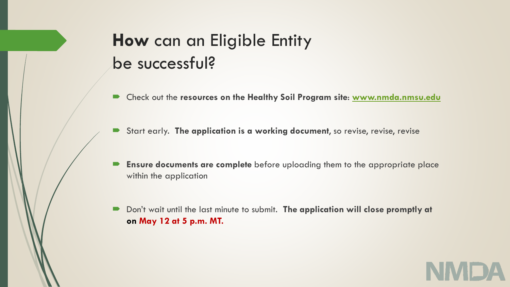## **How** can an Eligible Entity be successful?

- Check out the **resources on the Healthy Soil Program site**: **[www.nmda.nmsu.edu](http://www.nmda.nmsu.edu/)**
- Start early. **The application is a working document**, so revise, revise, revise
- **Ensure documents are complete** before uploading them to the appropriate place within the application
- Don't wait until the last minute to submit. **The application will close promptly at on May 12 at 5 p.m. MT.**